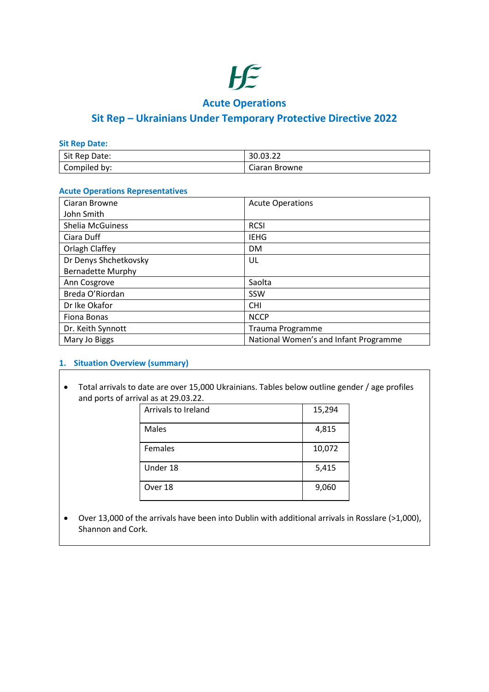

## **Acute Operations**

## **Sit Rep – Ukrainians Under Temporary Protective Directive 2022**

**Sit Rep Date:**

| Sit Rep      | $\sim$        |
|--------------|---------------|
| Date:        | 30.03.22      |
| Compiled by: | Ciaran Browne |

#### **Acute Operations Representatives**

| Ciaran Browne            | <b>Acute Operations</b>               |
|--------------------------|---------------------------------------|
| John Smith               |                                       |
| <b>Shelia McGuiness</b>  | <b>RCSI</b>                           |
| Ciara Duff               | <b>IEHG</b>                           |
| Orlagh Claffey           | <b>DM</b>                             |
| Dr Denys Shchetkovsky    | UL                                    |
| <b>Bernadette Murphy</b> |                                       |
| Ann Cosgrove             | Saolta                                |
| Breda O'Riordan          | SSW                                   |
| Dr Ike Okafor            | <b>CHI</b>                            |
| Fiona Bonas              | <b>NCCP</b>                           |
| Dr. Keith Synnott        | Trauma Programme                      |
| Mary Jo Biggs            | National Women's and Infant Programme |

#### **1. Situation Overview (summary)**

• Total arrivals to date are over 15,000 Ukrainians. Tables below outline gender / age profiles and ports of arrival as at 29.03.22.

| Arrivals to Ireland | 15,294 |
|---------------------|--------|
| Males               | 4,815  |
| Females             | 10,072 |
| Under 18            | 5,415  |
| Over 18             | 9,060  |

• Over 13,000 of the arrivals have been into Dublin with additional arrivals in Rosslare (>1,000), Shannon and Cork.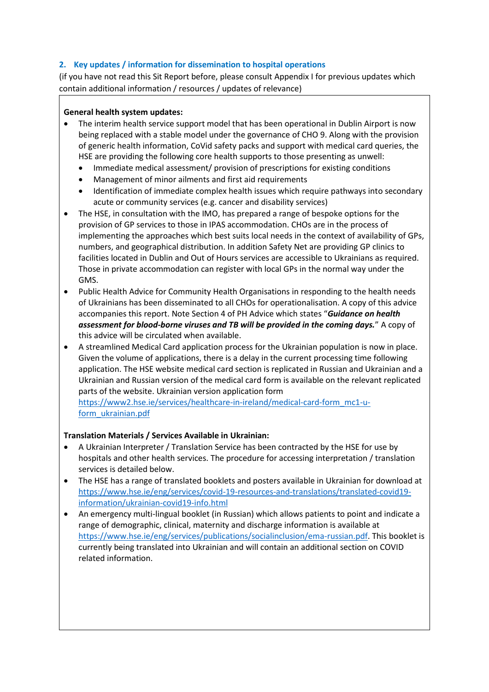## **2. Key updates / information for dissemination to hospital operations**

(if you have not read this Sit Report before, please consult Appendix I for previous updates which contain additional information / resources / updates of relevance)

### **General health system updates:**

- The interim health service support model that has been operational in Dublin Airport is now being replaced with a stable model under the governance of CHO 9. Along with the provision of generic health information, CoVid safety packs and support with medical card queries, the HSE are providing the following core health supports to those presenting as unwell:
	- Immediate medical assessment/ provision of prescriptions for existing conditions
	- Management of minor ailments and first aid requirements
	- Identification of immediate complex health issues which require pathways into secondary acute or community services (e.g. cancer and disability services)
- The HSE, in consultation with the IMO, has prepared a range of bespoke options for the provision of GP services to those in IPAS accommodation. CHOs are in the process of implementing the approaches which best suits local needs in the context of availability of GPs, numbers, and geographical distribution. In addition Safety Net are providing GP clinics to facilities located in Dublin and Out of Hours services are accessible to Ukrainians as required. Those in private accommodation can register with local GPs in the normal way under the GMS.
- Public Health Advice for Community Health Organisations in responding to the health needs of Ukrainians has been disseminated to all CHOs for operationalisation. A copy of this advice accompanies this report. Note Section 4 of PH Advice which states "*Guidance on health assessment for blood-borne viruses and TB will be provided in the coming days.*" A copy of this advice will be circulated when available.
- A streamlined Medical Card application process for the Ukrainian population is now in place. Given the volume of applications, there is a delay in the current processing time following application. The HSE website medical card section is replicated in Russian and Ukrainian and a Ukrainian and Russian version of the medical card form is available on the relevant replicated parts of the website. Ukrainian version application form [https://www2.hse.ie/services/healthcare-in-ireland/medical-card-form\\_mc1-u-](https://www2.hse.ie/services/healthcare-in-ireland/medical-card-form_mc1-u-form_ukrainian.pdf)

[form\\_ukrainian.pdf](https://www2.hse.ie/services/healthcare-in-ireland/medical-card-form_mc1-u-form_ukrainian.pdf)

## **Translation Materials / Services Available in Ukrainian:**

- A Ukrainian Interpreter / Translation Service has been contracted by the HSE for use by hospitals and other health services. The procedure for accessing interpretation / translation services is detailed below.
- The HSE has a range of translated booklets and posters available in Ukrainian for download at [https://www.hse.ie/eng/services/covid-19-resources-and-translations/translated-covid19](https://www.hse.ie/eng/services/covid-19-resources-and-translations/translated-covid19-information/ukrainian-covid19-info.html) [information/ukrainian-covid19-info.html](https://www.hse.ie/eng/services/covid-19-resources-and-translations/translated-covid19-information/ukrainian-covid19-info.html)
- An emergency multi-lingual booklet (in Russian) which allows patients to point and indicate a range of demographic, clinical, maternity and discharge information is available at [https://www.hse.ie/eng/services/publications/socialinclusion/ema-russian.pdf.](https://www.hse.ie/eng/services/publications/socialinclusion/ema-russian.pdf) This booklet is currently being translated into Ukrainian and will contain an additional section on COVID related information.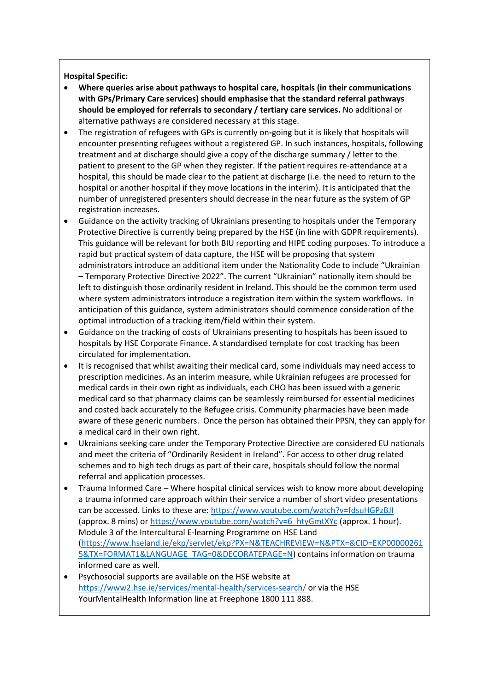### **Hospital Specific:**

- **Where queries arise about pathways to hospital care, hospitals (in their communications with GPs/Primary Care services) should emphasise that the standard referral pathways should be employed for referrals to secondary / tertiary care services.** No additional or alternative pathways are considered necessary at this stage.
- The registration of refugees with GPs is currently on**-**going but it is likely that hospitals will encounter presenting refugees without a registered GP. In such instances, hospitals, following treatment and at discharge should give a copy of the discharge summary / letter to the patient to present to the GP when they register. If the patient requires re-attendance at a hospital, this should be made clear to the patient at discharge (i.e. the need to return to the hospital or another hospital if they move locations in the interim). It is anticipated that the number of unregistered presenters should decrease in the near future as the system of GP registration increases.
- Guidance on the activity tracking of Ukrainians presenting to hospitals under the Temporary Protective Directive is currently being prepared by the HSE (in line with GDPR requirements). This guidance will be relevant for both BIU reporting and HIPE coding purposes. To introduce a rapid but practical system of data capture, the HSE will be proposing that system administrators introduce an additional item under the Nationality Code to include "Ukrainian – Temporary Protective Directive 2022". The current "Ukrainian" nationally item should be left to distinguish those ordinarily resident in Ireland. This should be the common term used where system administrators introduce a registration item within the system workflows. In anticipation of this guidance, system administrators should commence consideration of the optimal introduction of a tracking item/field within their system.
- Guidance on the tracking of costs of Ukrainians presenting to hospitals has been issued to hospitals by HSE Corporate Finance. A standardised template for cost tracking has been circulated for implementation.
- It is recognised that whilst awaiting their medical card, some individuals may need access to prescription medicines. As an interim measure, while Ukrainian refugees are processed for medical cards in their own right as individuals, each CHO has been issued with a generic medical card so that pharmacy claims can be seamlessly reimbursed for essential medicines and costed back accurately to the Refugee crisis. Community pharmacies have been made aware of these generic numbers. Once the person has obtained their PPSN, they can apply for a medical card in their own right.
- Ukrainians seeking care under the Temporary Protective Directive are considered EU nationals and meet the criteria of "Ordinarily Resident in Ireland". For access to other drug related schemes and to high tech drugs as part of their care, hospitals should follow the normal referral and application processes.
- Trauma Informed Care Where hospital clinical services wish to know more about developing a trauma informed care approach within their service a number of short video presentations can be accessed. Links to these are[: https://www.youtube.com/watch?v=fdsuHGPzBJI](https://scanner.topsec.com/?u=https%3A%2F%2Fwww.youtube.com%2Fwatch%3Fv%3DfdsuHGPzBJI&d=2120&r=show&t=4e333564ab8d4c2c2e0fa9e3ddbf15e7812206d2) (approx. 8 mins) or [https://www.youtube.com/watch?v=6\\_htyGmtXYc](https://scanner.topsec.com/?u=https%3A%2F%2Fwww.youtube.com%2Fwatch%3Fv%3D6_htyGmtXYc&d=2120&r=show&t=1e7c00ee872c3ef15fc21ec75ad2a56d074df7ab) (approx. 1 hour). Module 3 of the Intercultural E-learning Programme on HSE Land [\(https://www.hseland.ie/ekp/servlet/ekp?PX=N&TEACHREVIEW=N&PTX=&CID=EKP00000261](https://www.hseland.ie/ekp/servlet/ekp?PX=N&TEACHREVIEW=N&PTX=&CID=EKP000002615&TX=FORMAT1&LANGUAGE_TAG=0&DECORATEPAGE=N) [5&TX=FORMAT1&LANGUAGE\\_TAG=0&DECORATEPAGE=N\)](https://www.hseland.ie/ekp/servlet/ekp?PX=N&TEACHREVIEW=N&PTX=&CID=EKP000002615&TX=FORMAT1&LANGUAGE_TAG=0&DECORATEPAGE=N) contains information on trauma informed care as well.
- Psychosocial supports are available on the HSE website at <https://www2.hse.ie/services/mental-health/services-search/> or via the HSE YourMentalHealth Information line at Freephone 1800 111 888.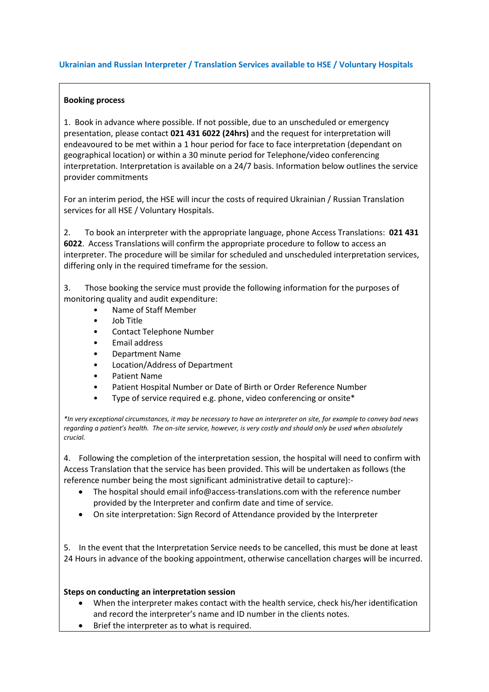#### **Ukrainian and Russian Interpreter / Translation Services available to HSE / Voluntary Hospitals**

### **Booking process**

1. Book in advance where possible. If not possible, due to an unscheduled or emergency presentation, please contact **021 431 6022 (24hrs)** and the request for interpretation will endeavoured to be met within a 1 hour period for face to face interpretation (dependant on geographical location) or within a 30 minute period for Telephone/video conferencing interpretation. Interpretation is available on a 24/7 basis. Information below outlines the service provider commitments

For an interim period, the HSE will incur the costs of required Ukrainian / Russian Translation services for all HSE / Voluntary Hospitals.

2. To book an interpreter with the appropriate language, phone Access Translations: **021 431 6022**. Access Translations will confirm the appropriate procedure to follow to access an interpreter. The procedure will be similar for scheduled and unscheduled interpretation services, differing only in the required timeframe for the session.

3. Those booking the service must provide the following information for the purposes of monitoring quality and audit expenditure:

- Name of Staff Member
- Job Title
- Contact Telephone Number
- Email address
- Department Name
- Location/Address of Department
- Patient Name
- Patient Hospital Number or Date of Birth or Order Reference Number
- Type of service required e.g. phone, video conferencing or onsite\*

*\*In very exceptional circumstances, it may be necessary to have an interpreter on site, for example to convey bad news regarding a patient's health. The on-site service, however, is very costly and should only be used when absolutely crucial.*

4. Following the completion of the interpretation session, the hospital will need to confirm with Access Translation that the service has been provided. This will be undertaken as follows (the reference number being the most significant administrative detail to capture):-

- The hospital should email info@access-translations.com with the reference number provided by the Interpreter and confirm date and time of service.
- On site interpretation: Sign Record of Attendance provided by the Interpreter

5. In the event that the Interpretation Service needs to be cancelled, this must be done at least 24 Hours in advance of the booking appointment, otherwise cancellation charges will be incurred.

## **Steps on conducting an interpretation session**

- When the interpreter makes contact with the health service, check his/her identification and record the interpreter's name and ID number in the clients notes.
- Brief the interpreter as to what is required.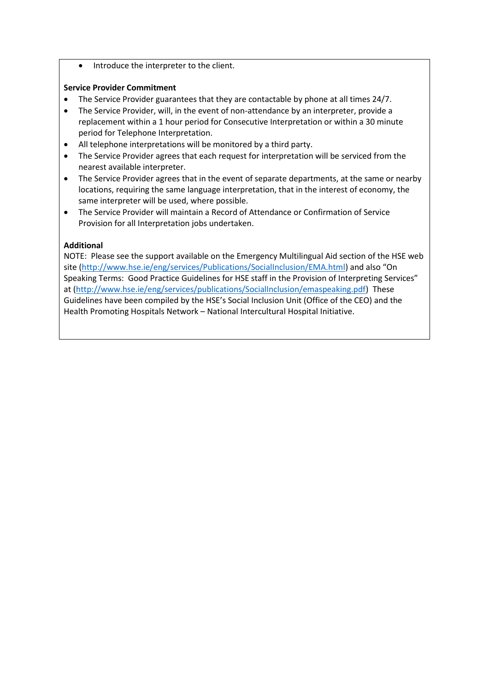• Introduce the interpreter to the client.

### **Service Provider Commitment**

- The Service Provider guarantees that they are contactable by phone at all times 24/7.
- The Service Provider, will, in the event of non-attendance by an interpreter, provide a replacement within a 1 hour period for Consecutive Interpretation or within a 30 minute period for Telephone Interpretation.
- All telephone interpretations will be monitored by a third party.
- The Service Provider agrees that each request for interpretation will be serviced from the nearest available interpreter.
- The Service Provider agrees that in the event of separate departments, at the same or nearby locations, requiring the same language interpretation, that in the interest of economy, the same interpreter will be used, where possible.
- The Service Provider will maintain a Record of Attendance or Confirmation of Service Provision for all Interpretation jobs undertaken.

## **Additional**

NOTE: Please see the support available on the Emergency Multilingual Aid section of the HSE web site [\(http://www.hse.ie/eng/services/Publications/SocialInclusion/EMA.html\)](https://scanner.topsec.com/?d=1822&u=http%3A%2F%2Fwww.hse.ie%2Feng%2Fservices%2FPublications%2FSocialInclusion%2FEMA.html&t=691725d3a8587051520f77d397c7eeb0b92a2196&r=show) and also "On Speaking Terms: Good Practice Guidelines for HSE staff in the Provision of Interpreting Services" at [\(http://www.hse.ie/eng/services/publications/SocialInclusion/emaspeaking.pdf\)](https://scanner.topsec.com/?d=1822&u=http%3A%2F%2Fwww.hse.ie%2Feng%2Fservices%2Fpublications%2FSocialInclusion%2Femaspeaking.pdf&t=afa09b53e6512b10e090839774128331722913bd&r=show) These Guidelines have been compiled by the HSE's Social Inclusion Unit (Office of the CEO) and the Health Promoting Hospitals Network – National Intercultural Hospital Initiative.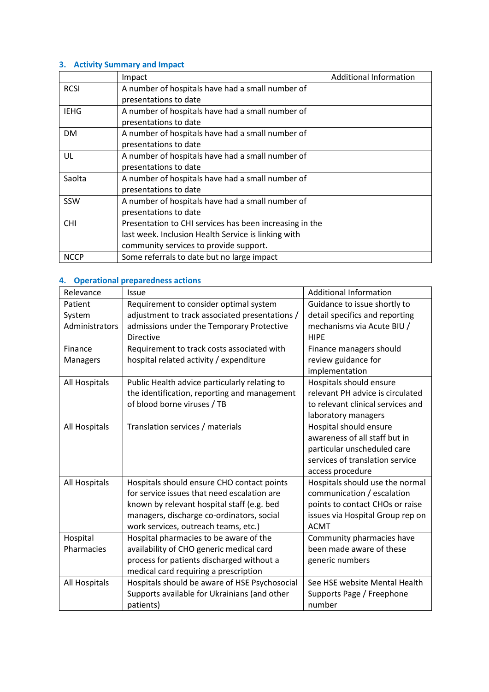## **3. Activity Summary and Impact**

|             | Impact                                                  | <b>Additional Information</b> |
|-------------|---------------------------------------------------------|-------------------------------|
| <b>RCSI</b> | A number of hospitals have had a small number of        |                               |
|             | presentations to date                                   |                               |
| <b>IEHG</b> | A number of hospitals have had a small number of        |                               |
|             | presentations to date                                   |                               |
| DM          | A number of hospitals have had a small number of        |                               |
|             | presentations to date                                   |                               |
| UL          | A number of hospitals have had a small number of        |                               |
|             | presentations to date                                   |                               |
| Saolta      | A number of hospitals have had a small number of        |                               |
|             | presentations to date                                   |                               |
| SSW         | A number of hospitals have had a small number of        |                               |
|             | presentations to date                                   |                               |
| <b>CHI</b>  | Presentation to CHI services has been increasing in the |                               |
|             | last week. Inclusion Health Service is linking with     |                               |
|             | community services to provide support.                  |                               |
| <b>NCCP</b> | Some referrals to date but no large impact              |                               |

## **4. Operational preparedness actions**

| Relevance      | Issue                                          | <b>Additional Information</b>     |
|----------------|------------------------------------------------|-----------------------------------|
| Patient        | Requirement to consider optimal system         | Guidance to issue shortly to      |
| System         | adjustment to track associated presentations / | detail specifics and reporting    |
| Administrators | admissions under the Temporary Protective      | mechanisms via Acute BIU /        |
|                | Directive                                      | <b>HIPE</b>                       |
| Finance        | Requirement to track costs associated with     | Finance managers should           |
| Managers       | hospital related activity / expenditure        | review guidance for               |
|                |                                                | implementation                    |
| All Hospitals  | Public Health advice particularly relating to  | Hospitals should ensure           |
|                | the identification, reporting and management   | relevant PH advice is circulated  |
|                | of blood borne viruses / TB                    | to relevant clinical services and |
|                |                                                | laboratory managers               |
| All Hospitals  | Translation services / materials               | Hospital should ensure            |
|                |                                                | awareness of all staff but in     |
|                |                                                | particular unscheduled care       |
|                |                                                | services of translation service   |
|                |                                                | access procedure                  |
| All Hospitals  | Hospitals should ensure CHO contact points     | Hospitals should use the normal   |
|                | for service issues that need escalation are    | communication / escalation        |
|                | known by relevant hospital staff (e.g. bed     | points to contact CHOs or raise   |
|                | managers, discharge co-ordinators, social      | issues via Hospital Group rep on  |
|                | work services, outreach teams, etc.)           | <b>ACMT</b>                       |
| Hospital       | Hospital pharmacies to be aware of the         | Community pharmacies have         |
| Pharmacies     | availability of CHO generic medical card       | been made aware of these          |
|                | process for patients discharged without a      | generic numbers                   |
|                | medical card requiring a prescription          |                                   |
| All Hospitals  | Hospitals should be aware of HSE Psychosocial  | See HSE website Mental Health     |
|                | Supports available for Ukrainians (and other   | Supports Page / Freephone         |
|                | patients)                                      | number                            |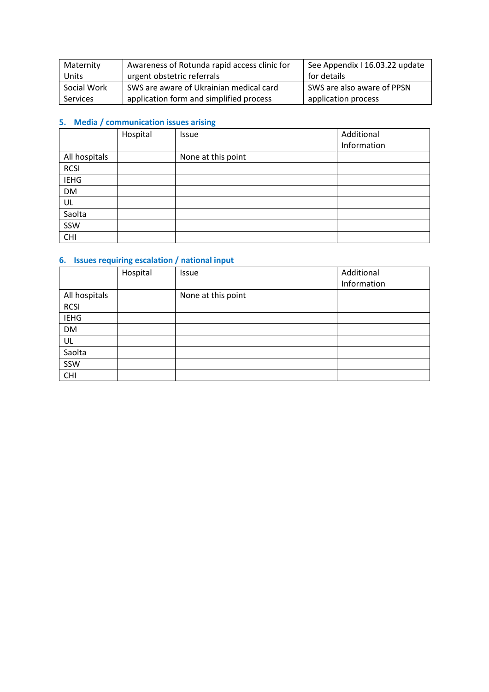| Maternity       | Awareness of Rotunda rapid access clinic for | See Appendix I 16.03.22 update |
|-----------------|----------------------------------------------|--------------------------------|
| Units           | urgent obstetric referrals                   | for details                    |
| Social Work     | SWS are aware of Ukrainian medical card      | SWS are also aware of PPSN     |
| <b>Services</b> | application form and simplified process      | application process            |

## **5. Media / communication issues arising**

|               | Hospital | Issue              | Additional  |
|---------------|----------|--------------------|-------------|
|               |          |                    | Information |
| All hospitals |          | None at this point |             |
| <b>RCSI</b>   |          |                    |             |
| <b>IEHG</b>   |          |                    |             |
| <b>DM</b>     |          |                    |             |
| UL            |          |                    |             |
| Saolta        |          |                    |             |
| SSW           |          |                    |             |
| <b>CHI</b>    |          |                    |             |

## **6. Issues requiring escalation / national input**

|               | Hospital | Issue              | Additional  |
|---------------|----------|--------------------|-------------|
|               |          |                    | Information |
| All hospitals |          | None at this point |             |
| <b>RCSI</b>   |          |                    |             |
| <b>IEHG</b>   |          |                    |             |
| <b>DM</b>     |          |                    |             |
| UL            |          |                    |             |
| Saolta        |          |                    |             |
| SSW           |          |                    |             |
| <b>CHI</b>    |          |                    |             |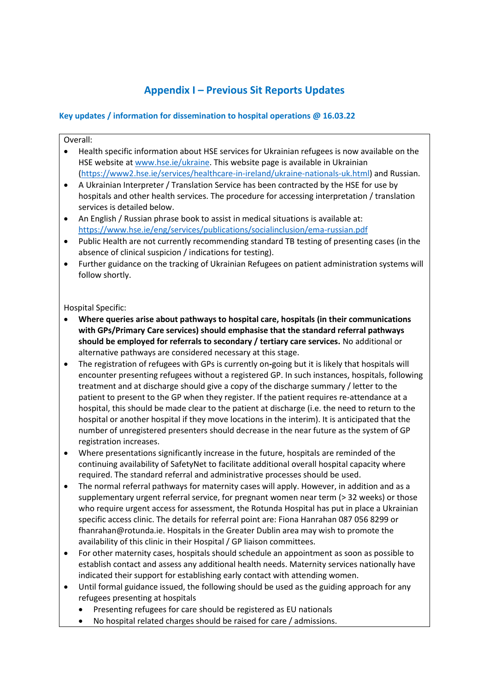# **Appendix I – Previous Sit Reports Updates**

### **Key updates / information for dissemination to hospital operations @ 16.03.22**

Overall:

- Health specific information about HSE services for Ukrainian refugees is now available on the HSE website a[t www.hse.ie/ukraine.](http://www.hse.ie/ukraine) This website page is available in Ukrainian [\(https://www2.hse.ie/services/healthcare-in-ireland/ukraine-nationals-uk.html\)](https://www2.hse.ie/services/healthcare-in-ireland/ukraine-nationals-uk.html) and Russian.
- A Ukrainian Interpreter / Translation Service has been contracted by the HSE for use by hospitals and other health services. The procedure for accessing interpretation / translation services is detailed below.
- An English / Russian phrase book to assist in medical situations is available at: <https://www.hse.ie/eng/services/publications/socialinclusion/ema-russian.pdf>
- Public Health are not currently recommending standard TB testing of presenting cases (in the absence of clinical suspicion / indications for testing).
- Further guidance on the tracking of Ukrainian Refugees on patient administration systems will follow shortly.

#### Hospital Specific:

- **Where queries arise about pathways to hospital care, hospitals (in their communications with GPs/Primary Care services) should emphasise that the standard referral pathways should be employed for referrals to secondary / tertiary care services.** No additional or alternative pathways are considered necessary at this stage.
- The registration of refugees with GPs is currently on**-**going but it is likely that hospitals will encounter presenting refugees without a registered GP. In such instances, hospitals, following treatment and at discharge should give a copy of the discharge summary / letter to the patient to present to the GP when they register. If the patient requires re-attendance at a hospital, this should be made clear to the patient at discharge (i.e. the need to return to the hospital or another hospital if they move locations in the interim). It is anticipated that the number of unregistered presenters should decrease in the near future as the system of GP registration increases.
- Where presentations significantly increase in the future, hospitals are reminded of the continuing availability of SafetyNet to facilitate additional overall hospital capacity where required. The standard referral and administrative processes should be used.
- The normal referral pathways for maternity cases will apply. However, in addition and as a supplementary urgent referral service, for pregnant women near term (> 32 weeks) or those who require urgent access for assessment, the Rotunda Hospital has put in place a Ukrainian specific access clinic. The details for referral point are: Fiona Hanrahan 087 056 8299 or fhanrahan@rotunda.ie. Hospitals in the Greater Dublin area may wish to promote the availability of this clinic in their Hospital / GP liaison committees.
- For other maternity cases, hospitals should schedule an appointment as soon as possible to establish contact and assess any additional health needs. Maternity services nationally have indicated their support for establishing early contact with attending women.
- Until formal guidance issued, the following should be used as the guiding approach for any refugees presenting at hospitals
	- Presenting refugees for care should be registered as EU nationals
	- No hospital related charges should be raised for care / admissions.